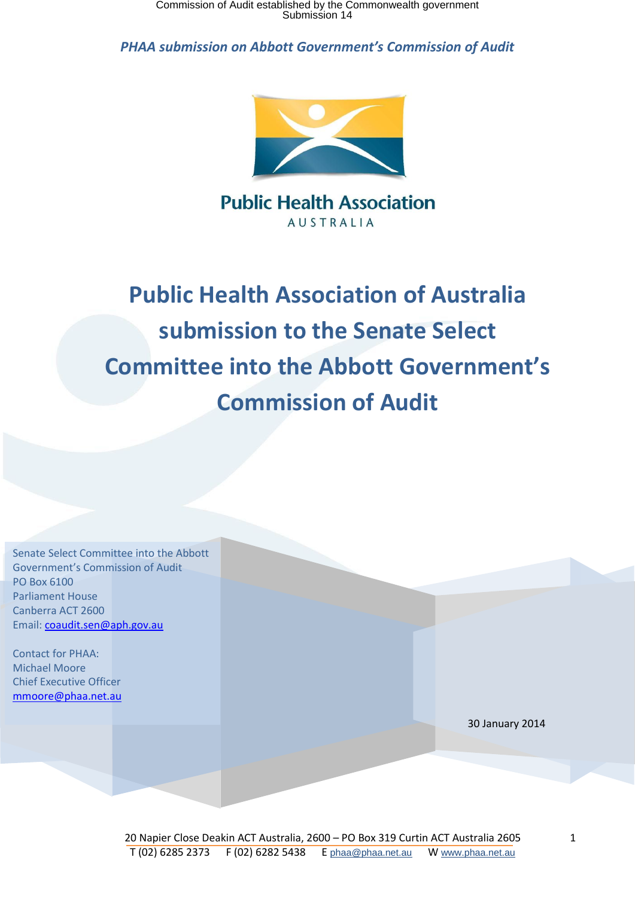

**Public Health Association AUSTRALIA** 

**Public Health Association of Australia submission to the Senate Select Committee into the Abbott Government's Commission of Audit**

| Senate Select Committee into the Abbott |  |
|-----------------------------------------|--|
| <b>Government's Commission of Audit</b> |  |
| PO Box 6100                             |  |
| <b>Parliament House</b>                 |  |
| Canberra ACT 2600                       |  |
| Email: coaudit.sen@aph.gov.au           |  |
|                                         |  |
| <b>Contact for PHAA:</b>                |  |
| <b>Michael Moore</b>                    |  |
| <b>Chief Executive Officer</b>          |  |
| mmoore@phaa.net.au                      |  |
|                                         |  |
|                                         |  |
|                                         |  |
|                                         |  |
|                                         |  |
|                                         |  |
|                                         |  |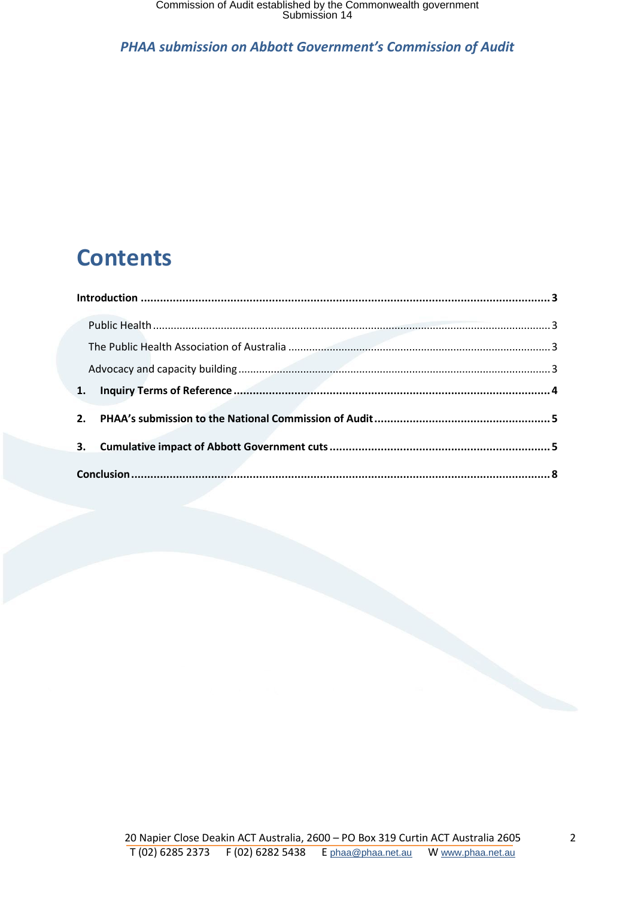## **Contents**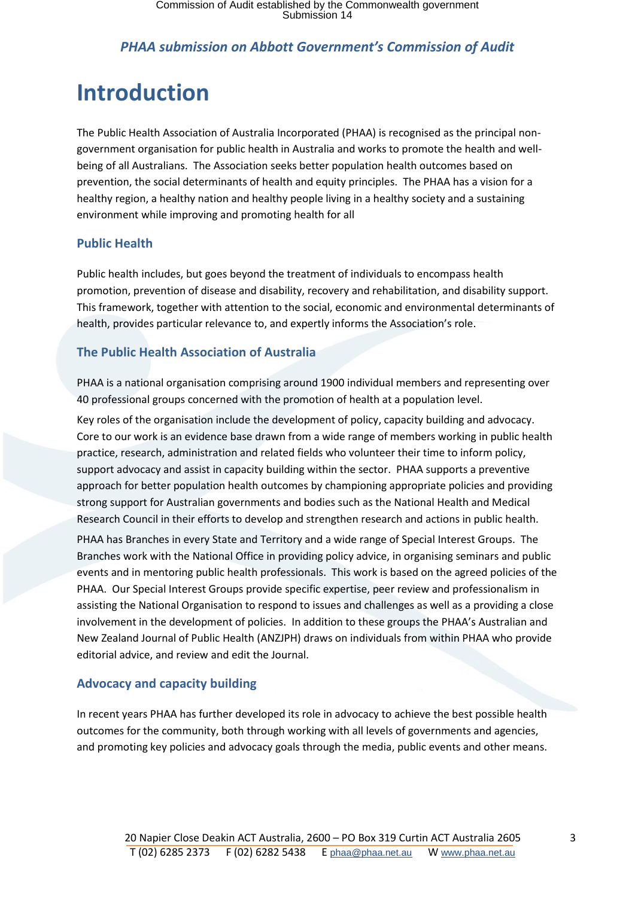## <span id="page-2-0"></span>**Introduction**

The Public Health Association of Australia Incorporated (PHAA) is recognised as the principal nongovernment organisation for public health in Australia and works to promote the health and wellbeing of all Australians. The Association seeks better population health outcomes based on prevention, the social determinants of health and equity principles. The PHAA has a vision for a healthy region, a healthy nation and healthy people living in a healthy society and a sustaining environment while improving and promoting health for all

### <span id="page-2-1"></span>**Public Health**

Public health includes, but goes beyond the treatment of individuals to encompass health promotion, prevention of disease and disability, recovery and rehabilitation, and disability support. This framework, together with attention to the social, economic and environmental determinants of health, provides particular relevance to, and expertly informs the Association's role.

### <span id="page-2-2"></span>**The Public Health Association of Australia**

PHAA is a national organisation comprising around 1900 individual members and representing over 40 professional groups concerned with the promotion of health at a population level.

Key roles of the organisation include the development of policy, capacity building and advocacy. Core to our work is an evidence base drawn from a wide range of members working in public health practice, research, administration and related fields who volunteer their time to inform policy, support advocacy and assist in capacity building within the sector. PHAA supports a preventive approach for better population health outcomes by championing appropriate policies and providing strong support for Australian governments and bodies such as the National Health and Medical Research Council in their efforts to develop and strengthen research and actions in public health.

PHAA has Branches in every State and Territory and a wide range of Special Interest Groups. The Branches work with the National Office in providing policy advice, in organising seminars and public events and in mentoring public health professionals. This work is based on the agreed policies of the PHAA. Our Special Interest Groups provide specific expertise, peer review and professionalism in assisting the National Organisation to respond to issues and challenges as well as a providing a close involvement in the development of policies. In addition to these groups the PHAA's Australian and New Zealand Journal of Public Health (ANZJPH) draws on individuals from within PHAA who provide editorial advice, and review and edit the Journal.

### <span id="page-2-3"></span>**Advocacy and capacity building**

In recent years PHAA has further developed its role in advocacy to achieve the best possible health outcomes for the community, both through working with all levels of governments and agencies, and promoting key policies and advocacy goals through the media, public events and other means.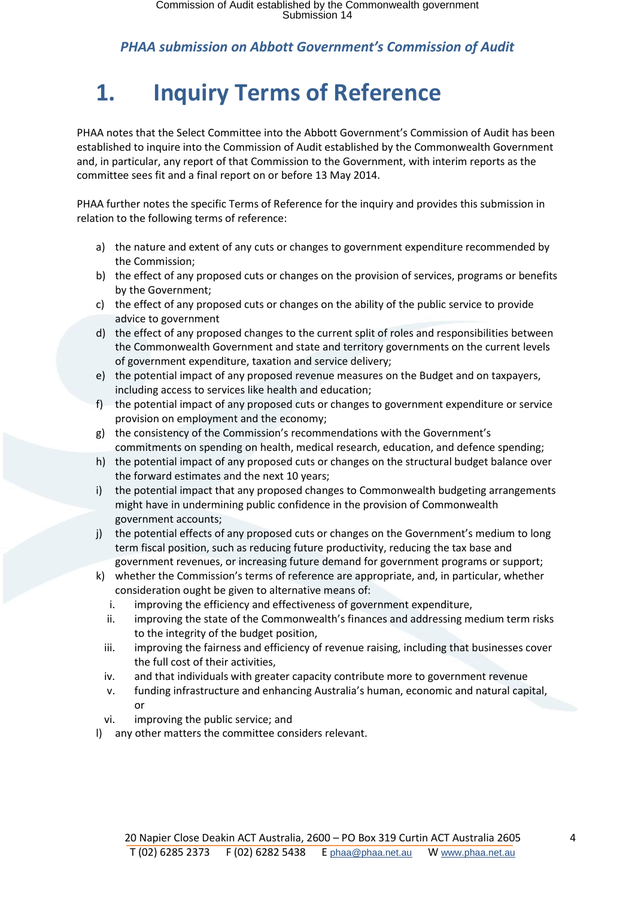# <span id="page-3-0"></span>**1. Inquiry Terms of Reference**

PHAA notes that the Select Committee into the Abbott Government's Commission of Audit has been established to inquire into the Commission of Audit established by the Commonwealth Government and, in particular, any report of that Commission to the Government, with interim reports as the committee sees fit and a final report on or before 13 May 2014.

PHAA further notes the specific Terms of Reference for the inquiry and provides this submission in relation to the following terms of reference:

- a) the nature and extent of any cuts or changes to government expenditure recommended by the Commission;
- b) the effect of any proposed cuts or changes on the provision of services, programs or benefits by the Government;
- c) the effect of any proposed cuts or changes on the ability of the public service to provide advice to government
- d) the effect of any proposed changes to the current split of roles and responsibilities between the Commonwealth Government and state and territory governments on the current levels of government expenditure, taxation and service delivery;
- e) the potential impact of any proposed revenue measures on the Budget and on taxpayers, including access to services like health and education;
- f) the potential impact of any proposed cuts or changes to government expenditure or service provision on employment and the economy;
- g) the consistency of the Commission's recommendations with the Government's commitments on spending on health, medical research, education, and defence spending;
- h) the potential impact of any proposed cuts or changes on the structural budget balance over the forward estimates and the next 10 years;
- i) the potential impact that any proposed changes to Commonwealth budgeting arrangements might have in undermining public confidence in the provision of Commonwealth government accounts;
- j) the potential effects of any proposed cuts or changes on the Government's medium to long term fiscal position, such as reducing future productivity, reducing the tax base and government revenues, or increasing future demand for government programs or support;
- k) whether the Commission's terms of reference are appropriate, and, in particular, whether consideration ought be given to alternative means of:
	- i. improving the efficiency and effectiveness of government expenditure,
	- ii. improving the state of the Commonwealth's finances and addressing medium term risks to the integrity of the budget position,
	- iii. improving the fairness and efficiency of revenue raising, including that businesses cover the full cost of their activities,
	- iv. and that individuals with greater capacity contribute more to government revenue
	- v. funding infrastructure and enhancing Australia's human, economic and natural capital, or
	- vi. improving the public service; and
- l) any other matters the committee considers relevant.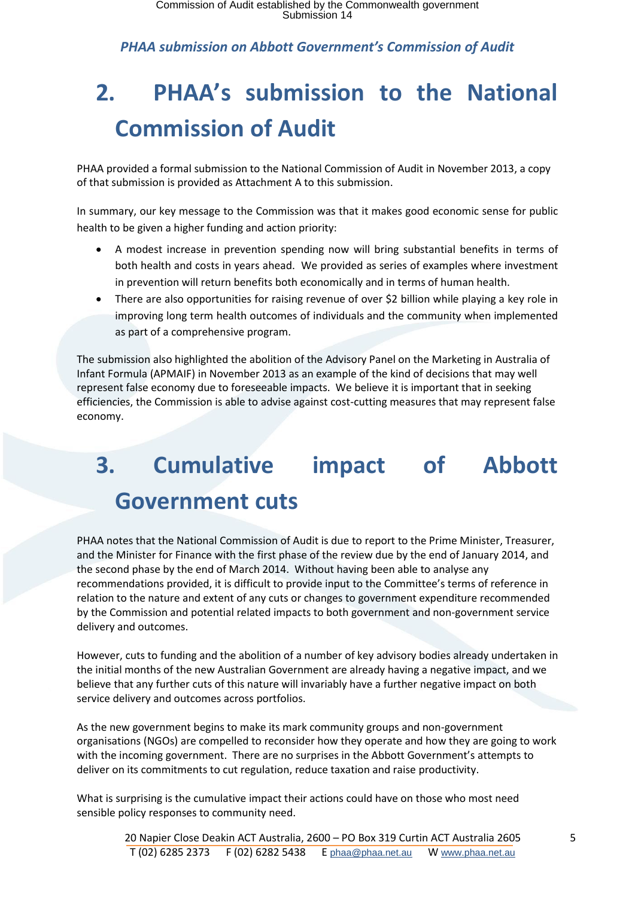# <span id="page-4-0"></span>**2. PHAA's submission to the National Commission of Audit**

PHAA provided a formal submission to the National Commission of Audit in November 2013, a copy of that submission is provided as Attachment A to this submission.

In summary, our key message to the Commission was that it makes good economic sense for public health to be given a higher funding and action priority:

- A modest increase in prevention spending now will bring substantial benefits in terms of both health and costs in years ahead. We provided as series of examples where investment in prevention will return benefits both economically and in terms of human health.
- There are also opportunities for raising revenue of over \$2 billion while playing a key role in improving long term health outcomes of individuals and the community when implemented as part of a comprehensive program.

The submission also highlighted the abolition of the Advisory Panel on the Marketing in Australia of Infant Formula (APMAIF) in November 2013 as an example of the kind of decisions that may well represent false economy due to foreseeable impacts. We believe it is important that in seeking efficiencies, the Commission is able to advise against cost-cutting measures that may represent false economy.

# <span id="page-4-1"></span>**3. Cumulative impact of Abbott Government cuts**

PHAA notes that the National Commission of Audit is due to report to the Prime Minister, Treasurer, and the Minister for Finance with the first phase of the review due by the end of January 2014, and the second phase by the end of March 2014. Without having been able to analyse any recommendations provided, it is difficult to provide input to the Committee's terms of reference in relation to the nature and extent of any cuts or changes to government expenditure recommended by the Commission and potential related impacts to both government and non-government service delivery and outcomes.

However, cuts to funding and the abolition of a number of key advisory bodies already undertaken in the initial months of the new Australian Government are already having a negative impact, and we believe that any further cuts of this nature will invariably have a further negative impact on both service delivery and outcomes across portfolios.

As the new government begins to make its mark community groups and non-government organisations (NGOs) are compelled to reconsider how they operate and how they are going to work with the incoming government. There are no surprises in the Abbott Government's attempts to deliver on its commitments to cut regulation, reduce taxation and raise productivity.

What is surprising is the cumulative impact their actions could have on those who most need sensible policy responses to community need.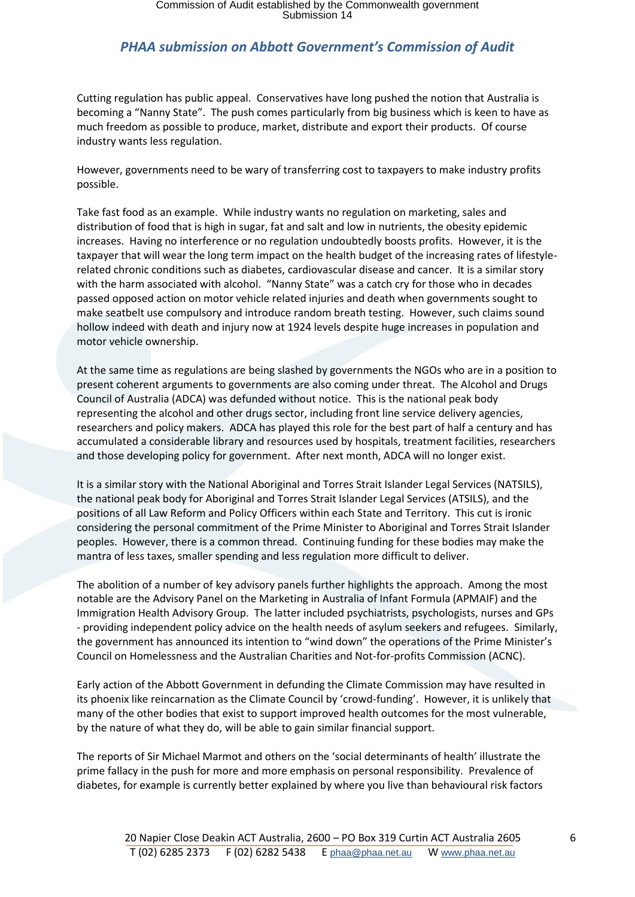Cutting regulation has public appeal. Conservatives have long pushed the notion that Australia is becoming a "Nanny State". The push comes particularly from big business which is keen to have as much freedom as possible to produce, market, distribute and export their products. Of course industry wants less regulation.

However, governments need to be wary of transferring cost to taxpayers to make industry profits possible.

Take fast food as an example. While industry wants no regulation on marketing, sales and distribution of food that is high in sugar, fat and salt and low in nutrients, the obesity epidemic increases. Having no interference or no regulation undoubtedly boosts profits. However, it is the taxpayer that will wear the long term impact on the health budget of the increasing rates of lifestylerelated chronic conditions such as diabetes, cardiovascular disease and cancer. It is a similar story with the harm associated with alcohol. "Nanny State" was a catch cry for those who in decades passed opposed action on motor vehicle related injuries and death when governments sought to make seatbelt use compulsory and introduce random breath testing. However, such claims sound hollow indeed with death and injury now at 1924 levels despite huge increases in population and motor vehicle ownership.

At the same time as regulations are being slashed by governments the NGOs who are in a position to present coherent arguments to governments are also coming under threat. The Alcohol and Drugs Council of Australia (ADCA) was defunded without notice. This is the national peak body representing the alcohol and other drugs sector, including front line service delivery agencies, researchers and policy makers. ADCA has played this role for the best part of half a century and has accumulated a considerable library and resources used by hospitals, treatment facilities, researchers and those developing policy for government. After next month, ADCA will no longer exist.

It is a similar story with the National Aboriginal and Torres Strait Islander Legal Services (NATSILS), the national peak body for Aboriginal and Torres Strait Islander Legal Services (ATSILS), and the positions of all Law Reform and Policy Officers within each State and Territory. This cut is ironic considering the personal commitment of the Prime Minister to Aboriginal and Torres Strait Islander peoples. However, there is a common thread. Continuing funding for these bodies may make the mantra of less taxes, smaller spending and less regulation more difficult to deliver.

The abolition of a number of key advisory panels further highlights the approach. Among the most notable are the Advisory Panel on the Marketing in Australia of Infant Formula (APMAIF) and the Immigration Health Advisory Group. The latter included psychiatrists, psychologists, nurses and GPs - providing independent policy advice on the health needs of asylum seekers and refugees. Similarly, the government has announced its intention to "wind down" the operations of the Prime Minister's Council on Homelessness and the Australian Charities and Not-for-profits Commission (ACNC).

Early action of the Abbott Government in defunding the Climate Commission may have resulted in its phoenix like reincarnation as the Climate Council by 'crowd-funding'. However, it is unlikely that many of the other bodies that exist to support improved health outcomes for the most vulnerable, by the nature of what they do, will be able to gain similar financial support.

The reports of Sir Michael Marmot and others on the 'social determinants of health' illustrate the prime fallacy in the push for more and more emphasis on personal responsibility. Prevalence of diabetes, for example is currently better explained by where you live than behavioural risk factors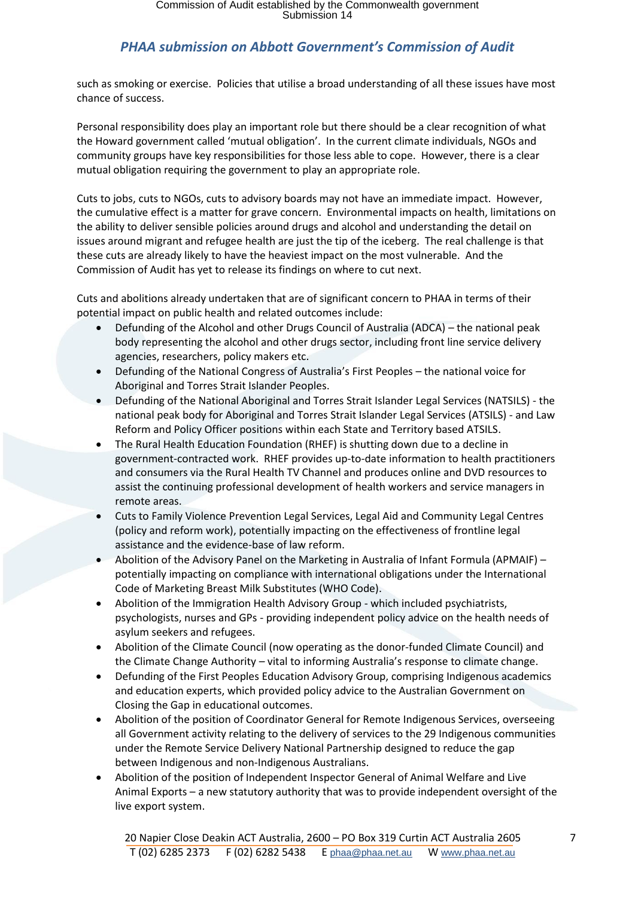such as smoking or exercise. Policies that utilise a broad understanding of all these issues have most chance of success.

Personal responsibility does play an important role but there should be a clear recognition of what the Howard government called 'mutual obligation'. In the current climate individuals, NGOs and community groups have key responsibilities for those less able to cope. However, there is a clear mutual obligation requiring the government to play an appropriate role.

Cuts to jobs, cuts to NGOs, cuts to advisory boards may not have an immediate impact. However, the cumulative effect is a matter for grave concern. Environmental impacts on health, limitations on the ability to deliver sensible policies around drugs and alcohol and understanding the detail on issues around migrant and refugee health are just the tip of the iceberg. The real challenge is that these cuts are already likely to have the heaviest impact on the most vulnerable. And the Commission of Audit has yet to release its findings on where to cut next.

Cuts and abolitions already undertaken that are of significant concern to PHAA in terms of their potential impact on public health and related outcomes include:

- Defunding of the Alcohol and other Drugs Council of Australia (ADCA) the national peak body representing the alcohol and other drugs sector, including front line service delivery agencies, researchers, policy makers etc.
- Defunding of the National Congress of Australia's First Peoples the national voice for Aboriginal and Torres Strait Islander Peoples.
- Defunding of the National Aboriginal and Torres Strait Islander Legal Services (NATSILS) the national peak body for Aboriginal and Torres Strait Islander Legal Services (ATSILS) - and Law Reform and Policy Officer positions within each State and Territory based ATSILS.
- The Rural Health Education Foundation (RHEF) is shutting down due to a decline in government-contracted work. RHEF provides up-to-date information to health practitioners and consumers via the Rural Health TV Channel and produces online and DVD resources to assist the continuing professional development of health workers and service managers in remote areas.
- Cuts to Family Violence Prevention Legal Services, Legal Aid and Community Legal Centres (policy and reform work), potentially impacting on the effectiveness of frontline legal assistance and the evidence-base of law reform.
- Abolition of the Advisory Panel on the Marketing in Australia of Infant Formula (APMAIF) potentially impacting on compliance with international obligations under the International Code of Marketing Breast Milk Substitutes (WHO Code).
- Abolition of the Immigration Health Advisory Group which included psychiatrists, psychologists, nurses and GPs - providing independent policy advice on the health needs of asylum seekers and refugees.
- Abolition of the Climate Council (now operating as the donor-funded Climate Council) and the Climate Change Authority – vital to informing Australia's response to climate change.
- Defunding of the First Peoples Education Advisory Group, comprising Indigenous academics and education experts, which provided policy advice to the Australian Government on Closing the Gap in educational outcomes.
- Abolition of the position of Coordinator General for Remote Indigenous Services, overseeing all Government activity relating to the delivery of services to the 29 Indigenous communities under the Remote Service Delivery National Partnership designed to reduce the gap between Indigenous and non-Indigenous Australians.
- Abolition of the position of Independent Inspector General of Animal Welfare and Live Animal Exports – a new statutory authority that was to provide independent oversight of the live export system.